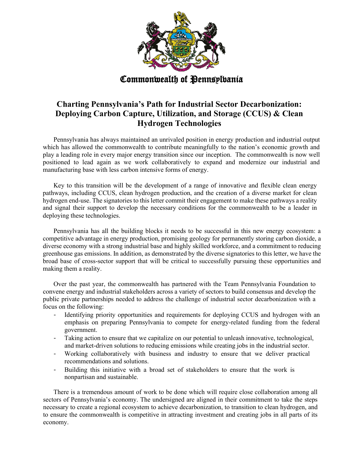

Commonwealth of **Pennsylvania** 

## **Charting Pennsylvania's Path for Industrial Sector Decarbonization: Deploying Carbon Capture, Utilization, and Storage (CCUS) & Clean Hydrogen Technologies**

Pennsylvania has always maintained an unrivaled position in energy production and industrial output which has allowed the commonwealth to contribute meaningfully to the nation's economic growth and play a leading role in every major energy transition since our inception. The commonwealth is now well positioned to lead again as we work collaboratively to expand and modernize our industrial and manufacturing base with less carbon intensive forms of energy.

Key to this transition will be the development of a range of innovative and flexible clean energy pathways, including CCUS, clean hydrogen production, and the creation of a diverse market for clean hydrogen end-use. The signatories to this letter commit their engagement to make these pathways a reality and signal their support to develop the necessary conditions for the commonwealth to be a leader in deploying these technologies.

Pennsylvania has all the building blocks it needs to be successful in this new energy ecosystem: a competitive advantage in energy production, promising geology for permanently storing carbon dioxide, a diverse economy with a strong industrial base and highly skilled workforce, and a commitment to reducing greenhouse gas emissions. In addition, as demonstrated by the diverse signatories to this letter, we have the broad base of cross-sector support that will be critical to successfully pursuing these opportunities and making them a reality.

Over the past year, the commonwealth has partnered with the Team Pennsylvania Foundation to convene energy and industrial stakeholders across a variety of sectors to build consensus and develop the public private partnerships needed to address the challenge of industrial sector decarbonization with a focus on the following:

- Identifying priority opportunities and requirements for deploying CCUS and hydrogen with an emphasis on preparing Pennsylvania to compete for energy-related funding from the federal government.
- Taking action to ensure that we capitalize on our potential to unleash innovative, technological, and market-driven solutions to reducing emissions while creating jobs in the industrial sector.
- Working collaboratively with business and industry to ensure that we deliver practical recommendations and solutions.
- Building this initiative with a broad set of stakeholders to ensure that the work is nonpartisan and sustainable.

There is a tremendous amount of work to be done which will require close collaboration among all sectors of Pennsylvania's economy. The undersigned are aligned in their commitment to take the steps necessary to create a regional ecosystem to achieve decarbonization, to transition to clean hydrogen, and to ensure the commonwealth is competitive in attracting investment and creating jobs in all parts of its economy.